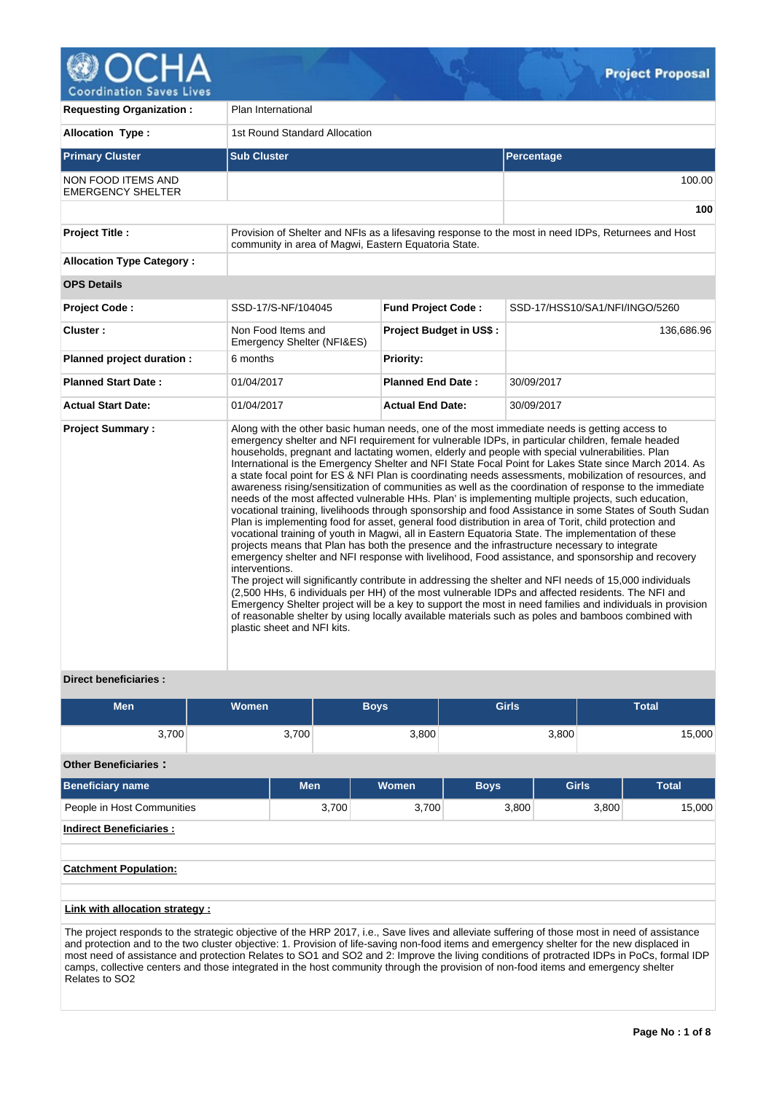

| <b>Requesting Organization:</b>                | Plan International                                                                                                                                                                                                                                                                                                                                                                                                                                                                                                                                                                                                                                                                                                                                                                                                                                                                                                                                                                                                                                                                                                                                                                                                                                                                                                                                                                                                                                                                                                                                                                                                                                                                                                                                         |                                |                                                                                                     |  |  |  |  |
|------------------------------------------------|------------------------------------------------------------------------------------------------------------------------------------------------------------------------------------------------------------------------------------------------------------------------------------------------------------------------------------------------------------------------------------------------------------------------------------------------------------------------------------------------------------------------------------------------------------------------------------------------------------------------------------------------------------------------------------------------------------------------------------------------------------------------------------------------------------------------------------------------------------------------------------------------------------------------------------------------------------------------------------------------------------------------------------------------------------------------------------------------------------------------------------------------------------------------------------------------------------------------------------------------------------------------------------------------------------------------------------------------------------------------------------------------------------------------------------------------------------------------------------------------------------------------------------------------------------------------------------------------------------------------------------------------------------------------------------------------------------------------------------------------------------|--------------------------------|-----------------------------------------------------------------------------------------------------|--|--|--|--|
| <b>Allocation Type:</b>                        | 1st Round Standard Allocation                                                                                                                                                                                                                                                                                                                                                                                                                                                                                                                                                                                                                                                                                                                                                                                                                                                                                                                                                                                                                                                                                                                                                                                                                                                                                                                                                                                                                                                                                                                                                                                                                                                                                                                              |                                |                                                                                                     |  |  |  |  |
| <b>Primary Cluster</b>                         | <b>Sub Cluster</b>                                                                                                                                                                                                                                                                                                                                                                                                                                                                                                                                                                                                                                                                                                                                                                                                                                                                                                                                                                                                                                                                                                                                                                                                                                                                                                                                                                                                                                                                                                                                                                                                                                                                                                                                         |                                | Percentage                                                                                          |  |  |  |  |
| NON FOOD ITEMS AND<br><b>EMERGENCY SHELTER</b> |                                                                                                                                                                                                                                                                                                                                                                                                                                                                                                                                                                                                                                                                                                                                                                                                                                                                                                                                                                                                                                                                                                                                                                                                                                                                                                                                                                                                                                                                                                                                                                                                                                                                                                                                                            |                                | 100.00                                                                                              |  |  |  |  |
|                                                |                                                                                                                                                                                                                                                                                                                                                                                                                                                                                                                                                                                                                                                                                                                                                                                                                                                                                                                                                                                                                                                                                                                                                                                                                                                                                                                                                                                                                                                                                                                                                                                                                                                                                                                                                            |                                | 100                                                                                                 |  |  |  |  |
| <b>Project Title:</b>                          | community in area of Magwi, Eastern Equatoria State.                                                                                                                                                                                                                                                                                                                                                                                                                                                                                                                                                                                                                                                                                                                                                                                                                                                                                                                                                                                                                                                                                                                                                                                                                                                                                                                                                                                                                                                                                                                                                                                                                                                                                                       |                                | Provision of Shelter and NFIs as a lifesaving response to the most in need IDPs, Returnees and Host |  |  |  |  |
| <b>Allocation Type Category:</b>               |                                                                                                                                                                                                                                                                                                                                                                                                                                                                                                                                                                                                                                                                                                                                                                                                                                                                                                                                                                                                                                                                                                                                                                                                                                                                                                                                                                                                                                                                                                                                                                                                                                                                                                                                                            |                                |                                                                                                     |  |  |  |  |
| <b>OPS Details</b>                             |                                                                                                                                                                                                                                                                                                                                                                                                                                                                                                                                                                                                                                                                                                                                                                                                                                                                                                                                                                                                                                                                                                                                                                                                                                                                                                                                                                                                                                                                                                                                                                                                                                                                                                                                                            |                                |                                                                                                     |  |  |  |  |
| <b>Project Code:</b>                           | SSD-17/S-NF/104045                                                                                                                                                                                                                                                                                                                                                                                                                                                                                                                                                                                                                                                                                                                                                                                                                                                                                                                                                                                                                                                                                                                                                                                                                                                                                                                                                                                                                                                                                                                                                                                                                                                                                                                                         | <b>Fund Project Code:</b>      | SSD-17/HSS10/SA1/NFI/INGO/5260                                                                      |  |  |  |  |
| Cluster:                                       | Non Food Items and<br>Emergency Shelter (NFI&ES)                                                                                                                                                                                                                                                                                                                                                                                                                                                                                                                                                                                                                                                                                                                                                                                                                                                                                                                                                                                                                                                                                                                                                                                                                                                                                                                                                                                                                                                                                                                                                                                                                                                                                                           | <b>Project Budget in US\$:</b> | 136,686.96                                                                                          |  |  |  |  |
| Planned project duration :                     | 6 months                                                                                                                                                                                                                                                                                                                                                                                                                                                                                                                                                                                                                                                                                                                                                                                                                                                                                                                                                                                                                                                                                                                                                                                                                                                                                                                                                                                                                                                                                                                                                                                                                                                                                                                                                   | <b>Priority:</b>               |                                                                                                     |  |  |  |  |
| <b>Planned Start Date:</b>                     | 01/04/2017                                                                                                                                                                                                                                                                                                                                                                                                                                                                                                                                                                                                                                                                                                                                                                                                                                                                                                                                                                                                                                                                                                                                                                                                                                                                                                                                                                                                                                                                                                                                                                                                                                                                                                                                                 | <b>Planned End Date:</b>       | 30/09/2017                                                                                          |  |  |  |  |
| <b>Actual Start Date:</b>                      | 01/04/2017                                                                                                                                                                                                                                                                                                                                                                                                                                                                                                                                                                                                                                                                                                                                                                                                                                                                                                                                                                                                                                                                                                                                                                                                                                                                                                                                                                                                                                                                                                                                                                                                                                                                                                                                                 | <b>Actual End Date:</b>        | 30/09/2017                                                                                          |  |  |  |  |
| <b>Project Summary:</b>                        | Along with the other basic human needs, one of the most immediate needs is getting access to<br>emergency shelter and NFI requirement for vulnerable IDPs, in particular children, female headed<br>households, pregnant and lactating women, elderly and people with special vulnerabilities. Plan<br>International is the Emergency Shelter and NFI State Focal Point for Lakes State since March 2014. As<br>a state focal point for ES & NFI Plan is coordinating needs assessments, mobilization of resources, and<br>awareness rising/sensitization of communities as well as the coordination of response to the immediate<br>needs of the most affected vulnerable HHs. Plan' is implementing multiple projects, such education,<br>vocational training, livelihoods through sponsorship and food Assistance in some States of South Sudan<br>Plan is implementing food for asset, general food distribution in area of Torit, child protection and<br>vocational training of youth in Magwi, all in Eastern Equatoria State. The implementation of these<br>projects means that Plan has both the presence and the infrastructure necessary to integrate<br>emergency shelter and NFI response with livelihood, Food assistance, and sponsorship and recovery<br>interventions.<br>The project will significantly contribute in addressing the shelter and NFI needs of 15,000 individuals<br>(2,500 HHs, 6 individuals per HH) of the most vulnerable IDPs and affected residents. The NFI and<br>Emergency Shelter project will be a key to support the most in need families and individuals in provision<br>of reasonable shelter by using locally available materials such as poles and bamboos combined with<br>plastic sheet and NFI kits. |                                |                                                                                                     |  |  |  |  |

# **Direct beneficiaries :**

| Men   | Women | Boys' | <b>Girls</b> | <b>Total</b> |
|-------|-------|-------|--------------|--------------|
| 3,700 | 3,700 | 3,800 | 3,800        | 15,000       |

# **Other Beneficiaries :**

| <b>Beneficiary name</b>         | <b>Men</b> | Women | <b>Boys</b> | <b>Girls</b> | <b>Total</b> |  |  |  |  |  |  |
|---------------------------------|------------|-------|-------------|--------------|--------------|--|--|--|--|--|--|
| People in Host Communities      | 3,700      | 3,700 | 3,800       | 3,800        | 15,000       |  |  |  |  |  |  |
| <b>Indirect Beneficiaries:</b>  |            |       |             |              |              |  |  |  |  |  |  |
|                                 |            |       |             |              |              |  |  |  |  |  |  |
| <b>Catchment Population:</b>    |            |       |             |              |              |  |  |  |  |  |  |
|                                 |            |       |             |              |              |  |  |  |  |  |  |
| Link with allocation strategy : |            |       |             |              |              |  |  |  |  |  |  |

The project responds to the strategic objective of the HRP 2017, i.e., Save lives and alleviate suffering of those most in need of assistance and protection and to the two cluster objective: 1. Provision of life-saving non-food items and emergency shelter for the new displaced in most need of assistance and protection Relates to SO1 and SO2 and 2: Improve the living conditions of protracted IDPs in PoCs, formal IDP camps, collective centers and those integrated in the host community through the provision of non-food items and emergency shelter Relates to SO2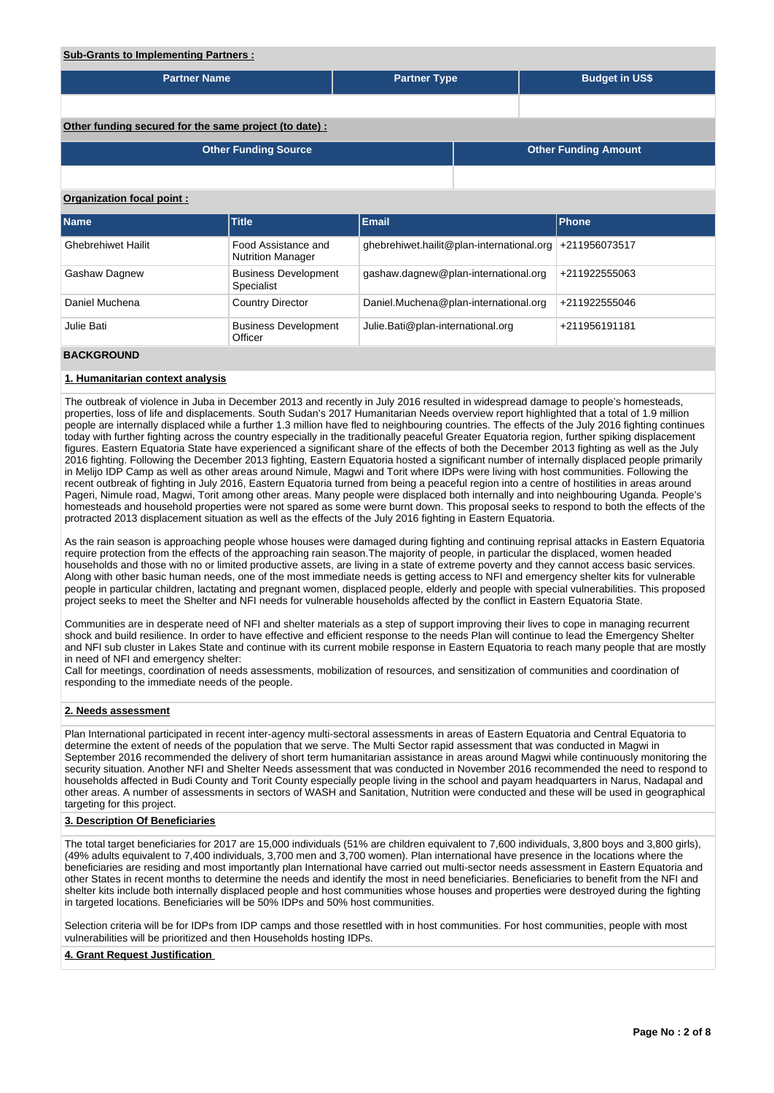# **Sub-Grants to Implementing Partners : Partner Name Partner Type Partner Type Budget in US\$ Other funding secured for the same project (to date) : Other Funding Source Other Funding Amount Organization focal point : Name Title Email Phone** Ghebrehiwet Hailit Food Assistance and Nutrition Manager ghebrehiwet.hailit@plan-international.org +211956073517 Gashaw Dagnew Business Development Specialist gashaw.dagnew@plan-international.org +211922555063 Daniel Muchena Country Director Daniel.Muchena@plan-international.org +211922555046 Julie Bati **Business Development Officer** Julie.Bati@plan-international.org +211956191181

# **BACKGROUND**

### **1. Humanitarian context analysis**

The outbreak of violence in Juba in December 2013 and recently in July 2016 resulted in widespread damage to people's homesteads, properties, loss of life and displacements. South Sudan's 2017 Humanitarian Needs overview report highlighted that a total of 1.9 million people are internally displaced while a further 1.3 million have fled to neighbouring countries. The effects of the July 2016 fighting continues today with further fighting across the country especially in the traditionally peaceful Greater Equatoria region, further spiking displacement figures. Eastern Equatoria State have experienced a significant share of the effects of both the December 2013 fighting as well as the July 2016 fighting. Following the December 2013 fighting, Eastern Equatoria hosted a significant number of internally displaced people primarily in Melijo IDP Camp as well as other areas around Nimule, Magwi and Torit where IDPs were living with host communities. Following the recent outbreak of fighting in July 2016, Eastern Equatoria turned from being a peaceful region into a centre of hostilities in areas around Pageri, Nimule road, Magwi, Torit among other areas. Many people were displaced both internally and into neighbouring Uganda. People's homesteads and household properties were not spared as some were burnt down. This proposal seeks to respond to both the effects of the protracted 2013 displacement situation as well as the effects of the July 2016 fighting in Eastern Equatoria.

As the rain season is approaching people whose houses were damaged during fighting and continuing reprisal attacks in Eastern Equatoria require protection from the effects of the approaching rain season.The majority of people, in particular the displaced, women headed households and those with no or limited productive assets, are living in a state of extreme poverty and they cannot access basic services. Along with other basic human needs, one of the most immediate needs is getting access to NFI and emergency shelter kits for vulnerable people in particular children, lactating and pregnant women, displaced people, elderly and people with special vulnerabilities. This proposed project seeks to meet the Shelter and NFI needs for vulnerable households affected by the conflict in Eastern Equatoria State.

Communities are in desperate need of NFI and shelter materials as a step of support improving their lives to cope in managing recurrent shock and build resilience. In order to have effective and efficient response to the needs Plan will continue to lead the Emergency Shelter and NFI sub cluster in Lakes State and continue with its current mobile response in Eastern Equatoria to reach many people that are mostly in need of NFI and emergency shelter:

Call for meetings, coordination of needs assessments, mobilization of resources, and sensitization of communities and coordination of responding to the immediate needs of the people.

### **2. Needs assessment**

Plan International participated in recent inter-agency multi-sectoral assessments in areas of Eastern Equatoria and Central Equatoria to determine the extent of needs of the population that we serve. The Multi Sector rapid assessment that was conducted in Magwi in September 2016 recommended the delivery of short term humanitarian assistance in areas around Magwi while continuously monitoring the security situation. Another NFI and Shelter Needs assessment that was conducted in November 2016 recommended the need to respond to households affected in Budi County and Torit County especially people living in the school and payam headquarters in Narus, Nadapal and other areas. A number of assessments in sectors of WASH and Sanitation, Nutrition were conducted and these will be used in geographical targeting for this project.

### **3. Description Of Beneficiaries**

The total target beneficiaries for 2017 are 15,000 individuals (51% are children equivalent to 7,600 individuals, 3,800 boys and 3,800 girls), (49% adults equivalent to 7,400 individuals, 3,700 men and 3,700 women). Plan international have presence in the locations where the beneficiaries are residing and most importantly plan International have carried out multi-sector needs assessment in Eastern Equatoria and other States in recent months to determine the needs and identify the most in need beneficiaries. Beneficiaries to benefit from the NFI and shelter kits include both internally displaced people and host communities whose houses and properties were destroyed during the fighting in targeted locations. Beneficiaries will be 50% IDPs and 50% host communities.

Selection criteria will be for IDPs from IDP camps and those resettled with in host communities. For host communities, people with most vulnerabilities will be prioritized and then Households hosting IDPs.

### **4. Grant Request Justification**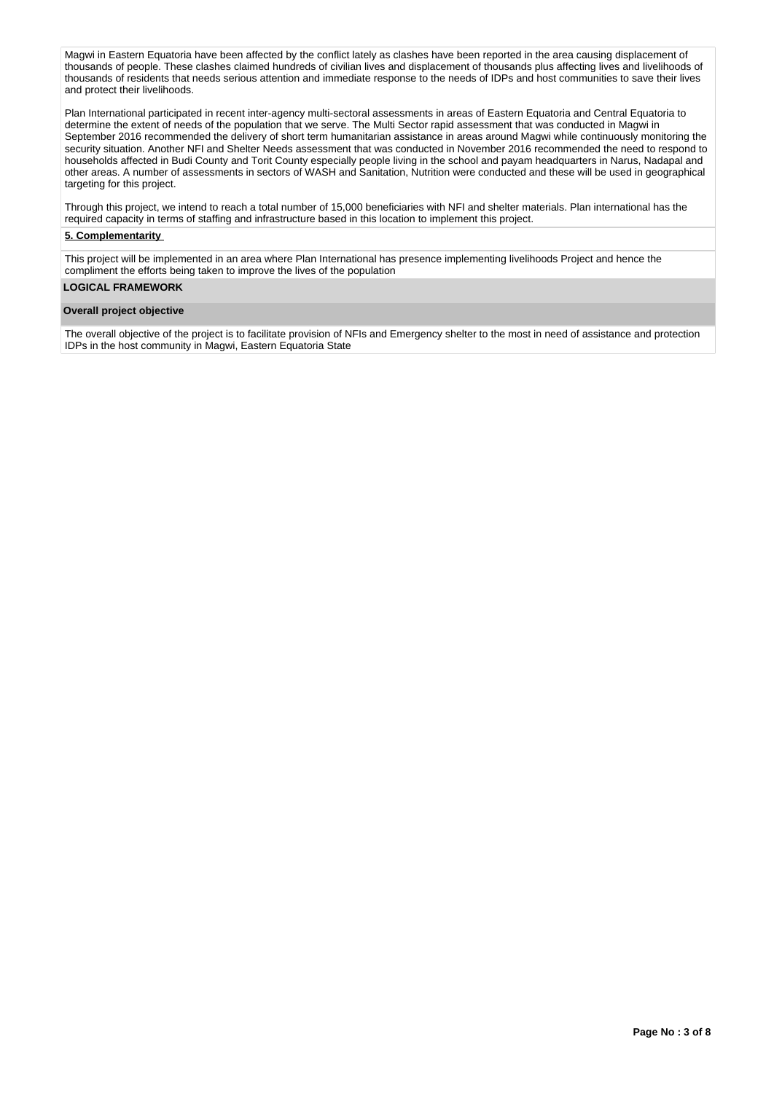Magwi in Eastern Equatoria have been affected by the conflict lately as clashes have been reported in the area causing displacement of thousands of people. These clashes claimed hundreds of civilian lives and displacement of thousands plus affecting lives and livelihoods of thousands of residents that needs serious attention and immediate response to the needs of IDPs and host communities to save their lives and protect their livelihoods.

Plan International participated in recent inter-agency multi-sectoral assessments in areas of Eastern Equatoria and Central Equatoria to determine the extent of needs of the population that we serve. The Multi Sector rapid assessment that was conducted in Magwi in September 2016 recommended the delivery of short term humanitarian assistance in areas around Magwi while continuously monitoring the security situation. Another NFI and Shelter Needs assessment that was conducted in November 2016 recommended the need to respond to households affected in Budi County and Torit County especially people living in the school and payam headquarters in Narus, Nadapal and other areas. A number of assessments in sectors of WASH and Sanitation, Nutrition were conducted and these will be used in geographical targeting for this project.

Through this project, we intend to reach a total number of 15,000 beneficiaries with NFI and shelter materials. Plan international has the required capacity in terms of staffing and infrastructure based in this location to implement this project.

### **5. Complementarity**

This project will be implemented in an area where Plan International has presence implementing livelihoods Project and hence the compliment the efforts being taken to improve the lives of the population

### **LOGICAL FRAMEWORK**

### **Overall project objective**

The overall objective of the project is to facilitate provision of NFIs and Emergency shelter to the most in need of assistance and protection IDPs in the host community in Magwi, Eastern Equatoria State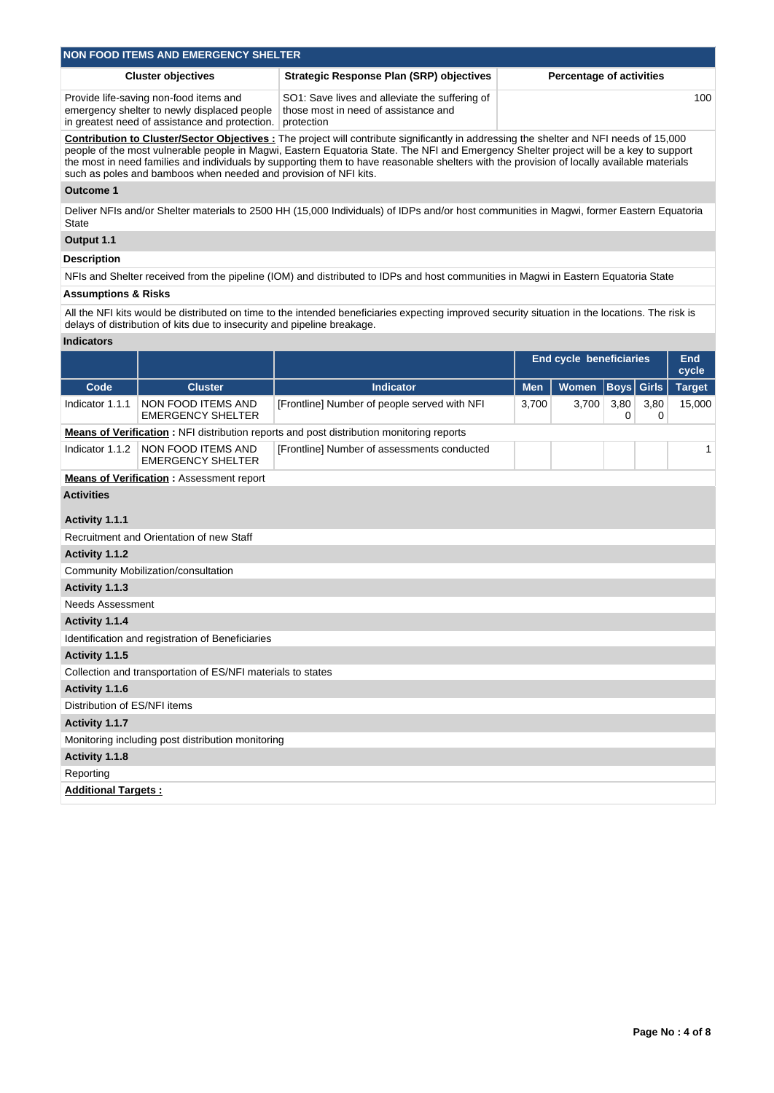| <b>NON FOOD ITEMS AND EMERGENCY SHELTER</b>                                                                                             |                                                                                                      |                                 |  |  |  |  |  |
|-----------------------------------------------------------------------------------------------------------------------------------------|------------------------------------------------------------------------------------------------------|---------------------------------|--|--|--|--|--|
| <b>Cluster objectives</b>                                                                                                               | <b>Strategic Response Plan (SRP) objectives</b>                                                      | <b>Percentage of activities</b> |  |  |  |  |  |
| Provide life-saving non-food items and<br>emergency shelter to newly displaced people<br>in greatest need of assistance and protection. | SO1: Save lives and alleviate the suffering of<br>those most in need of assistance and<br>protection | 100                             |  |  |  |  |  |
|                                                                                                                                         |                                                                                                      |                                 |  |  |  |  |  |

**Contribution to Cluster/Sector Objectives :** The project will contribute significantly in addressing the shelter and NFI needs of 15,000 people of the most vulnerable people in Magwi, Eastern Equatoria State. The NFI and Emergency Shelter project will be a key to support the most in need families and individuals by supporting them to have reasonable shelters with the provision of locally available materials such as poles and bamboos when needed and provision of NFI kits.

# **Outcome 1**

Deliver NFIs and/or Shelter materials to 2500 HH (15,000 Individuals) of IDPs and/or host communities in Magwi, former Eastern Equatoria State

# **Output 1.1**

### **Description**

NFIs and Shelter received from the pipeline (IOM) and distributed to IDPs and host communities in Magwi in Eastern Equatoria State

### **Assumptions & Risks**

All the NFI kits would be distributed on time to the intended beneficiaries expecting improved security situation in the locations. The risk is delays of distribution of kits due to insecurity and pipeline breakage.

#### **Indicators**

|                              |                                                             |                                                                                                 |            | <b>End cycle beneficiaries</b> |                   |           | End<br>cycle  |
|------------------------------|-------------------------------------------------------------|-------------------------------------------------------------------------------------------------|------------|--------------------------------|-------------------|-----------|---------------|
| Code                         | <b>Cluster</b>                                              | <b>Indicator</b>                                                                                | <b>Men</b> | <b>Women</b>                   | <b>Boys</b> Girls |           | <b>Target</b> |
| Indicator 1.1.1              | NON FOOD ITEMS AND<br><b>EMERGENCY SHELTER</b>              | [Frontline] Number of people served with NFI                                                    | 3,700      | 3,700                          | 3,80<br>0         | 3,80<br>0 | 15,000        |
|                              |                                                             | <b>Means of Verification:</b> NFI distribution reports and post distribution monitoring reports |            |                                |                   |           |               |
| Indicator 1.1.2              | NON FOOD ITEMS AND<br><b>EMERGENCY SHELTER</b>              | [Frontline] Number of assessments conducted                                                     |            |                                |                   |           | 1             |
|                              | <b>Means of Verification: Assessment report</b>             |                                                                                                 |            |                                |                   |           |               |
| <b>Activities</b>            |                                                             |                                                                                                 |            |                                |                   |           |               |
| Activity 1.1.1               |                                                             |                                                                                                 |            |                                |                   |           |               |
|                              | Recruitment and Orientation of new Staff                    |                                                                                                 |            |                                |                   |           |               |
| Activity 1.1.2               |                                                             |                                                                                                 |            |                                |                   |           |               |
|                              | Community Mobilization/consultation                         |                                                                                                 |            |                                |                   |           |               |
| Activity 1.1.3               |                                                             |                                                                                                 |            |                                |                   |           |               |
| <b>Needs Assessment</b>      |                                                             |                                                                                                 |            |                                |                   |           |               |
| Activity 1.1.4               |                                                             |                                                                                                 |            |                                |                   |           |               |
|                              | Identification and registration of Beneficiaries            |                                                                                                 |            |                                |                   |           |               |
| Activity 1.1.5               |                                                             |                                                                                                 |            |                                |                   |           |               |
|                              | Collection and transportation of ES/NFI materials to states |                                                                                                 |            |                                |                   |           |               |
| Activity 1.1.6               |                                                             |                                                                                                 |            |                                |                   |           |               |
| Distribution of ES/NFI items |                                                             |                                                                                                 |            |                                |                   |           |               |
| Activity 1.1.7               |                                                             |                                                                                                 |            |                                |                   |           |               |
|                              | Monitoring including post distribution monitoring           |                                                                                                 |            |                                |                   |           |               |
| Activity 1.1.8               |                                                             |                                                                                                 |            |                                |                   |           |               |
| Reporting                    |                                                             |                                                                                                 |            |                                |                   |           |               |
| <b>Additional Targets:</b>   |                                                             |                                                                                                 |            |                                |                   |           |               |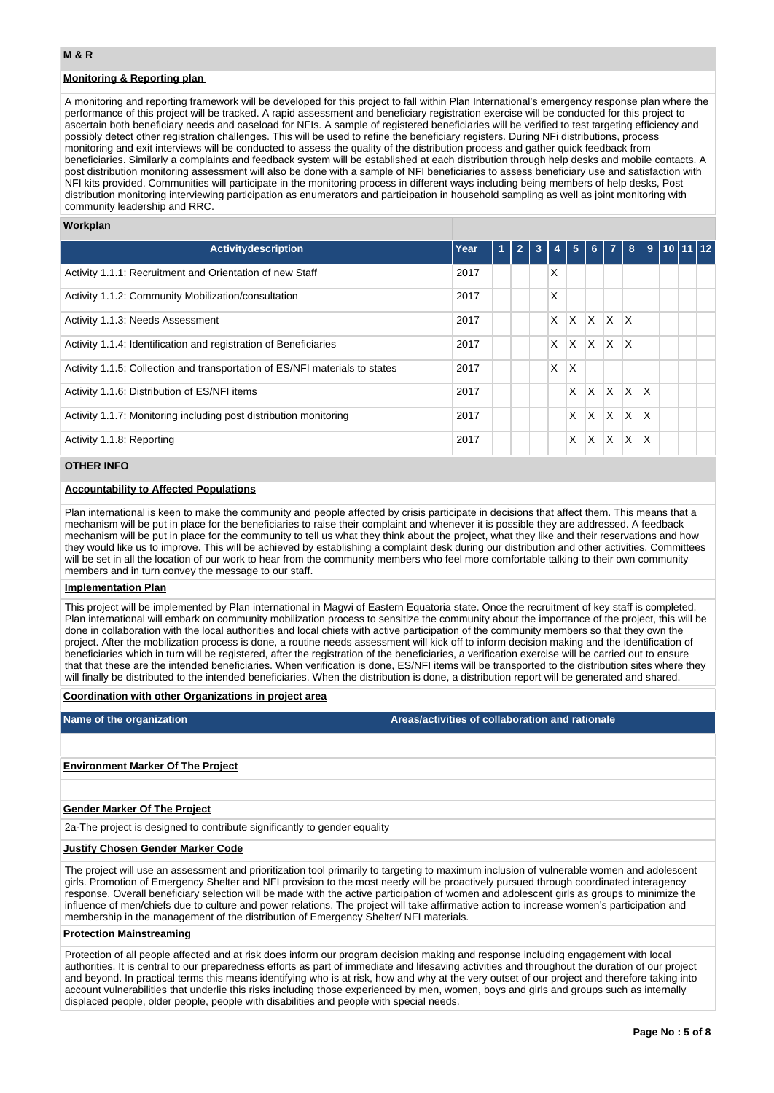# **Monitoring & Reporting plan**

A monitoring and reporting framework will be developed for this project to fall within Plan International's emergency response plan where the performance of this project will be tracked. A rapid assessment and beneficiary registration exercise will be conducted for this project to ascertain both beneficiary needs and caseload for NFIs. A sample of registered beneficiaries will be verified to test targeting efficiency and possibly detect other registration challenges. This will be used to refine the beneficiary registers. During NFi distributions, process monitoring and exit interviews will be conducted to assess the quality of the distribution process and gather quick feedback from beneficiaries. Similarly a complaints and feedback system will be established at each distribution through help desks and mobile contacts. A post distribution monitoring assessment will also be done with a sample of NFI beneficiaries to assess beneficiary use and satisfaction with NFI kits provided. Communities will participate in the monitoring process in different ways including being members of help desks, Post distribution monitoring interviewing participation as enumerators and participation in household sampling as well as joint monitoring with community leadership and RRC.

#### **Workplan**

| Activitydescription                                                         | Year | $\blacktriangleleft$ | $\overline{2}$ | 3 | 4 | 5        | 6            | 7   | 8   | 9   | $10$ 11 12 |  |
|-----------------------------------------------------------------------------|------|----------------------|----------------|---|---|----------|--------------|-----|-----|-----|------------|--|
| Activity 1.1.1: Recruitment and Orientation of new Staff                    | 2017 |                      |                |   | Χ |          |              |     |     |     |            |  |
| Activity 1.1.2: Community Mobilization/consultation                         | 2017 |                      |                |   | Χ |          |              |     |     |     |            |  |
| Activity 1.1.3: Needs Assessment                                            | 2017 |                      |                |   | X | ΙX.      | $\mathsf{X}$ | X.  | ΙX  |     |            |  |
| Activity 1.1.4: Identification and registration of Beneficiaries            | 2017 |                      |                |   | X | ΙX.      | $\mathsf{X}$ | IX. | ΙX  |     |            |  |
| Activity 1.1.5: Collection and transportation of ES/NFI materials to states | 2017 |                      |                |   | X | $\times$ |              |     |     |     |            |  |
| Activity 1.1.6: Distribution of ES/NFI items                                | 2017 |                      |                |   |   | X        | X.           | X.  | ΙX. | ΙX. |            |  |
| Activity 1.1.7: Monitoring including post distribution monitoring           | 2017 |                      |                |   |   | X        | X.           | X.  | ΙX. | ΙX. |            |  |
| Activity 1.1.8: Reporting                                                   | 2017 |                      |                |   |   | X        | X            | X   | X   | ΙX  |            |  |
|                                                                             |      |                      |                |   |   |          |              |     |     |     |            |  |

# **OTHER INFO**

### **Accountability to Affected Populations**

Plan international is keen to make the community and people affected by crisis participate in decisions that affect them. This means that a mechanism will be put in place for the beneficiaries to raise their complaint and whenever it is possible they are addressed. A feedback mechanism will be put in place for the community to tell us what they think about the project, what they like and their reservations and how they would like us to improve. This will be achieved by establishing a complaint desk during our distribution and other activities. Committees will be set in all the location of our work to hear from the community members who feel more comfortable talking to their own community members and in turn convey the message to our staff.

#### **Implementation Plan**

This project will be implemented by Plan international in Magwi of Eastern Equatoria state. Once the recruitment of key staff is completed, Plan international will embark on community mobilization process to sensitize the community about the importance of the project, this will be done in collaboration with the local authorities and local chiefs with active participation of the community members so that they own the project. After the mobilization process is done, a routine needs assessment will kick off to inform decision making and the identification of beneficiaries which in turn will be registered, after the registration of the beneficiaries, a verification exercise will be carried out to ensure that that these are the intended beneficiaries. When verification is done, ES/NFI items will be transported to the distribution sites where they will finally be distributed to the intended beneficiaries. When the distribution is done, a distribution report will be generated and shared.

### **Coordination with other Organizations in project area**

**Name of the organization Areas/activities of collaboration and rationale** 

#### **Environment Marker Of The Project**

#### **Gender Marker Of The Project**

2a-The project is designed to contribute significantly to gender equality

#### **Justify Chosen Gender Marker Code**

The project will use an assessment and prioritization tool primarily to targeting to maximum inclusion of vulnerable women and adolescent girls. Promotion of Emergency Shelter and NFI provision to the most needy will be proactively pursued through coordinated interagency response. Overall beneficiary selection will be made with the active participation of women and adolescent girls as groups to minimize the influence of men/chiefs due to culture and power relations. The project will take affirmative action to increase women's participation and membership in the management of the distribution of Emergency Shelter/ NFI materials.

### **Protection Mainstreaming**

Protection of all people affected and at risk does inform our program decision making and response including engagement with local authorities. It is central to our preparedness efforts as part of immediate and lifesaving activities and throughout the duration of our project and beyond. In practical terms this means identifying who is at risk, how and why at the very outset of our project and therefore taking into account vulnerabilities that underlie this risks including those experienced by men, women, boys and girls and groups such as internally displaced people, older people, people with disabilities and people with special needs.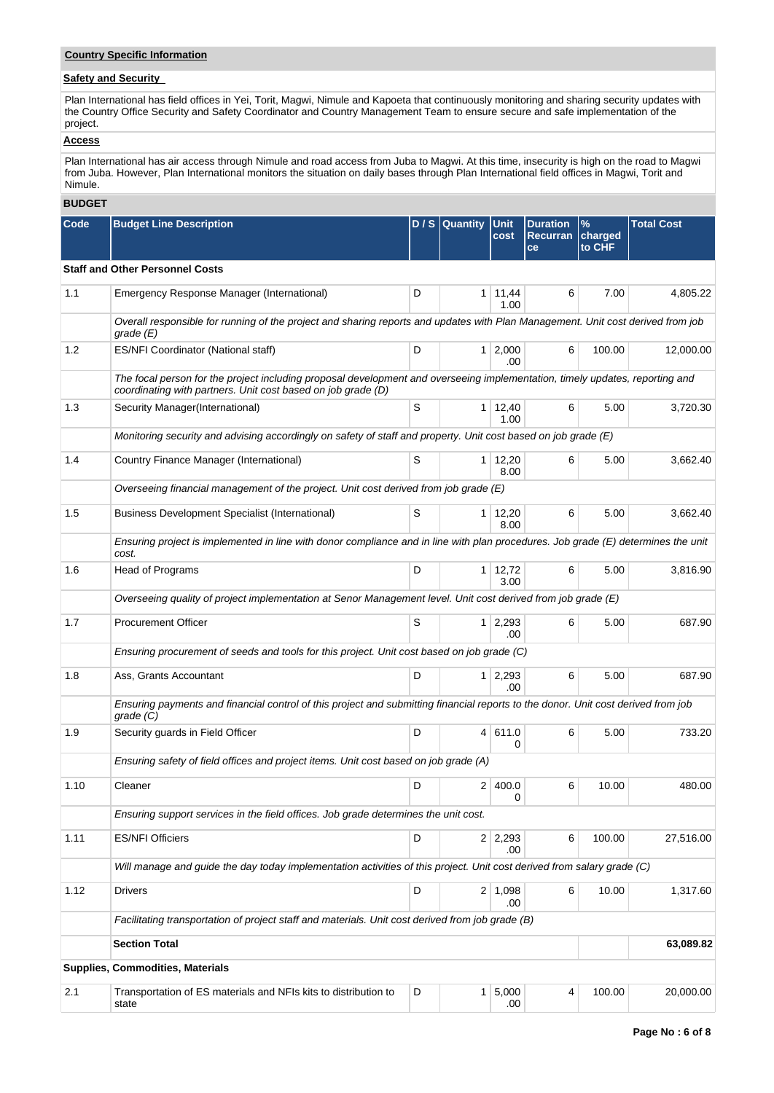# **Country Specific Information**

# **Safety and Security**

Plan International has field offices in Yei, Torit, Magwi, Nimule and Kapoeta that continuously monitoring and sharing security updates with the Country Office Security and Safety Coordinator and Country Management Team to ensure secure and safe implementation of the project.

# **Access**

Plan International has air access through Nimule and road access from Juba to Magwi. At this time, insecurity is high on the road to Magwi from Juba. However, Plan International monitors the situation on daily bases through Plan International field offices in Magwi, Torit and Nimule.

### **BUDGET**

| Code | <b>Budget Line Description</b>                                                                                                                                                               |   | $D/S$ Quantity | <b>Unit</b><br>cost    | <b>Duration</b><br><b>Recurran</b><br>ce | $\frac{9}{6}$<br>charged<br>to CHF | <b>Total Cost</b> |
|------|----------------------------------------------------------------------------------------------------------------------------------------------------------------------------------------------|---|----------------|------------------------|------------------------------------------|------------------------------------|-------------------|
|      | <b>Staff and Other Personnel Costs</b>                                                                                                                                                       |   |                |                        |                                          |                                    |                   |
| 1.1  | Emergency Response Manager (International)<br>D                                                                                                                                              |   | 1 <sup>1</sup> | 11,44<br>1.00          | 6                                        | 7.00                               | 4,805.22          |
|      | Overall responsible for running of the project and sharing reports and updates with Plan Management. Unit cost derived from job<br>grade (E)                                                 |   |                |                        |                                          |                                    |                   |
| 1.2  | ES/NFI Coordinator (National staff)                                                                                                                                                          | D |                | $1 \mid 2,000$<br>.00  | 6                                        | 100.00                             | 12,000.00         |
|      | The focal person for the project including proposal development and overseeing implementation, timely updates, reporting and<br>coordinating with partners. Unit cost based on job grade (D) |   |                |                        |                                          |                                    |                   |
| 1.3  | Security Manager(International)                                                                                                                                                              | S |                | $1 \mid 12,40$<br>1.00 | 6                                        | 5.00                               | 3,720.30          |
|      | Monitoring security and advising accordingly on safety of staff and property. Unit cost based on job grade (E)                                                                               |   |                |                        |                                          |                                    |                   |
| 1.4  | Country Finance Manager (International)                                                                                                                                                      | S |                | 1 12,20<br>8.00        | 6                                        | 5.00                               | 3,662.40          |
|      | Overseeing financial management of the project. Unit cost derived from job grade (E)                                                                                                         |   |                |                        |                                          |                                    |                   |
| 1.5  | <b>Business Development Specialist (International)</b>                                                                                                                                       | S | 1 <sup>1</sup> | 12,20<br>8.00          | 6                                        | 5.00                               | 3,662.40          |
|      | Ensuring project is implemented in line with donor compliance and in line with plan procedures. Job grade (E) determines the unit<br>cost.                                                   |   |                |                        |                                          |                                    |                   |
| 1.6  | Head of Programs                                                                                                                                                                             | D |                | $1 \mid 12.72$<br>3.00 | 6                                        | 5.00                               | 3.816.90          |
|      | Overseeing quality of project implementation at Senor Management level. Unit cost derived from job grade (E)                                                                                 |   |                |                        |                                          |                                    |                   |
| 1.7  | <b>Procurement Officer</b>                                                                                                                                                                   | S |                | $1 \mid 2,293$<br>.00. | 6                                        | 5.00                               | 687.90            |
|      | Ensuring procurement of seeds and tools for this project. Unit cost based on job grade (C)                                                                                                   |   |                |                        |                                          |                                    |                   |
| 1.8  | Ass, Grants Accountant                                                                                                                                                                       | D |                | $1 \mid 2,293$<br>.00  | 6                                        | 5.00                               | 687.90            |
|      | Ensuring payments and financial control of this project and submitting financial reports to the donor. Unit cost derived from job<br>grade (C)                                               |   |                |                        |                                          |                                    |                   |
| 1.9  | Security quards in Field Officer                                                                                                                                                             | D |                | 4 611.0<br>0           | 6                                        | 5.00                               | 733.20            |
|      | Ensuring safety of field offices and project items. Unit cost based on job grade (A)                                                                                                         |   |                |                        |                                          |                                    |                   |
| 1.10 | Cleaner                                                                                                                                                                                      | D |                | 2 400.0<br>0           | 6                                        | 10.00                              | 480.00            |
|      | Ensuring support services in the field offices. Job grade determines the unit cost.                                                                                                          |   |                |                        |                                          |                                    |                   |
| 1.11 | <b>ES/NFI Officiers</b>                                                                                                                                                                      | D |                | $2 \mid 2,293$<br>.00  | 6                                        | 100.00                             | 27,516.00         |
|      | Will manage and guide the day today implementation activities of this project. Unit cost derived from salary grade (C)                                                                       |   |                |                        |                                          |                                    |                   |
| 1.12 | <b>Drivers</b>                                                                                                                                                                               | D |                | $2 \mid 1,098$<br>.00  | 6                                        | 10.00                              | 1,317.60          |
|      | Facilitating transportation of project staff and materials. Unit cost derived from job grade (B)                                                                                             |   |                |                        |                                          |                                    |                   |
|      | <b>Section Total</b>                                                                                                                                                                         |   |                |                        |                                          |                                    | 63,089.82         |
|      | Supplies, Commodities, Materials                                                                                                                                                             |   |                |                        |                                          |                                    |                   |
| 2.1  | Transportation of ES materials and NFIs kits to distribution to<br>state                                                                                                                     | D |                | 1 5,000<br>.00         | 4                                        | 100.00                             | 20,000.00         |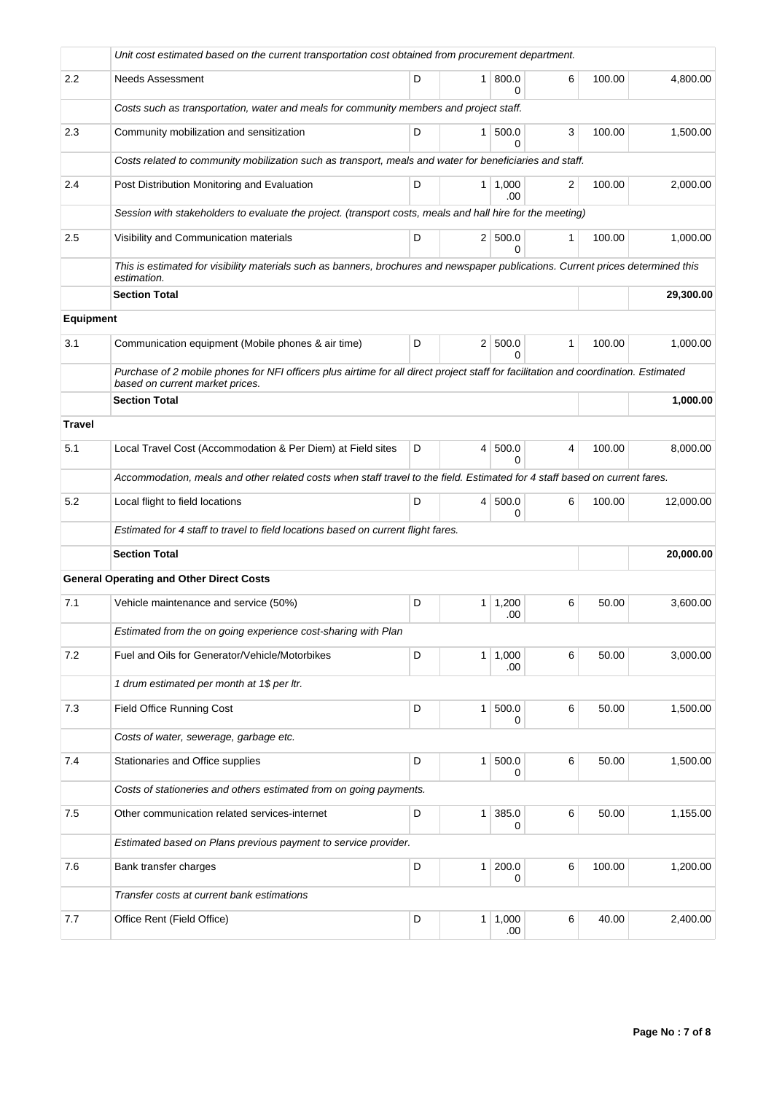|               | Unit cost estimated based on the current transportation cost obtained from procurement department.                                                                     |        |                |                |              |        |           |  |  |  |  |
|---------------|------------------------------------------------------------------------------------------------------------------------------------------------------------------------|--------|----------------|----------------|--------------|--------|-----------|--|--|--|--|
| 2.2           | 800.0<br><b>Needs Assessment</b><br>D<br>6<br>100.00<br>1<br>0                                                                                                         |        |                |                |              |        |           |  |  |  |  |
|               | Costs such as transportation, water and meals for community members and project staff.                                                                                 |        |                |                |              |        |           |  |  |  |  |
| 2.3           | Community mobilization and sensitization                                                                                                                               | 100.00 | 1,500.00       |                |              |        |           |  |  |  |  |
|               | Costs related to community mobilization such as transport, meals and water for beneficiaries and staff.                                                                |        |                |                |              |        |           |  |  |  |  |
| 2.4           | Post Distribution Monitoring and Evaluation                                                                                                                            | D      | 1 <sup>1</sup> | 1,000<br>.00   | 2            | 100.00 | 2,000.00  |  |  |  |  |
|               | Session with stakeholders to evaluate the project. (transport costs, meals and hall hire for the meeting)                                                              |        |                |                |              |        |           |  |  |  |  |
| 2.5           | Visibility and Communication materials                                                                                                                                 | D      |                | 2   500.0<br>0 | $\mathbf{1}$ | 100.00 | 1,000.00  |  |  |  |  |
|               | This is estimated for visibility materials such as banners, brochures and newspaper publications. Current prices determined this<br>estimation.                        |        |                |                |              |        |           |  |  |  |  |
|               | <b>Section Total</b>                                                                                                                                                   |        |                |                |              |        | 29,300.00 |  |  |  |  |
| Equipment     |                                                                                                                                                                        |        |                |                |              |        |           |  |  |  |  |
| 3.1           | Communication equipment (Mobile phones & air time)                                                                                                                     | D      |                | 2 500.0<br>0   | $\mathbf{1}$ | 100.00 | 1,000.00  |  |  |  |  |
|               | Purchase of 2 mobile phones for NFI officers plus airtime for all direct project staff for facilitation and coordination. Estimated<br>based on current market prices. |        |                |                |              |        |           |  |  |  |  |
|               | <b>Section Total</b>                                                                                                                                                   |        |                |                |              |        | 1,000.00  |  |  |  |  |
| <b>Travel</b> |                                                                                                                                                                        |        |                |                |              |        |           |  |  |  |  |
| 5.1           | Local Travel Cost (Accommodation & Per Diem) at Field sites                                                                                                            | D      | $\vert$        | 500.0<br>O     | 4            | 100.00 | 8,000.00  |  |  |  |  |
|               | Accommodation, meals and other related costs when staff travel to the field. Estimated for 4 staff based on current fares.                                             |        |                |                |              |        |           |  |  |  |  |
| 5.2           | Local flight to field locations                                                                                                                                        | D      | 4              | 500.0<br>0     | 6            | 100.00 | 12,000.00 |  |  |  |  |
|               | Estimated for 4 staff to travel to field locations based on current flight fares.                                                                                      |        |                |                |              |        |           |  |  |  |  |
|               | <b>Section Total</b>                                                                                                                                                   |        |                |                |              |        | 20,000.00 |  |  |  |  |
|               | <b>General Operating and Other Direct Costs</b>                                                                                                                        |        |                |                |              |        |           |  |  |  |  |
| 7.1           | Vehicle maintenance and service (50%)                                                                                                                                  | D      | 1              | 1,200<br>.00   | 6            | 50.00  | 3,600.00  |  |  |  |  |
|               | Estimated from the on going experience cost-sharing with Plan                                                                                                          |        |                |                |              |        |           |  |  |  |  |
| 7.2           | Fuel and Oils for Generator/Vehicle/Motorbikes                                                                                                                         | D      | $\mathbf{1}$   | 1,000<br>.00   | 6            | 50.00  | 3,000.00  |  |  |  |  |
|               | 1 drum estimated per month at 1\$ per ltr.                                                                                                                             |        |                |                |              |        |           |  |  |  |  |
| 7.3           | <b>Field Office Running Cost</b>                                                                                                                                       | D      | $\mathbf{1}$   | 500.0<br>0     | 6            | 50.00  | 1,500.00  |  |  |  |  |
|               | Costs of water, sewerage, garbage etc.                                                                                                                                 |        |                |                |              |        |           |  |  |  |  |
| 7.4           | Stationaries and Office supplies                                                                                                                                       | D      | $\mathbf{1}$   | 500.0<br>0     | 6            | 50.00  | 1,500.00  |  |  |  |  |
|               | Costs of stationeries and others estimated from on going payments.                                                                                                     |        |                |                |              |        |           |  |  |  |  |
| 7.5           | 385.0<br>6<br>Other communication related services-internet<br>D<br>$\mathbf{1}$<br>50.00<br>1,155.00<br>0                                                             |        |                |                |              |        |           |  |  |  |  |
|               | Estimated based on Plans previous payment to service provider.                                                                                                         |        |                |                |              |        |           |  |  |  |  |
| 7.6           | Bank transfer charges                                                                                                                                                  | D      | $\mathbf{1}$   | 200.0<br>0     | 6            | 100.00 | 1,200.00  |  |  |  |  |
|               | Transfer costs at current bank estimations                                                                                                                             |        |                |                |              |        |           |  |  |  |  |
| 7.7           | Office Rent (Field Office)                                                                                                                                             | D      | 1 <sup>1</sup> | 1,000<br>.00   | 6            | 40.00  | 2,400.00  |  |  |  |  |